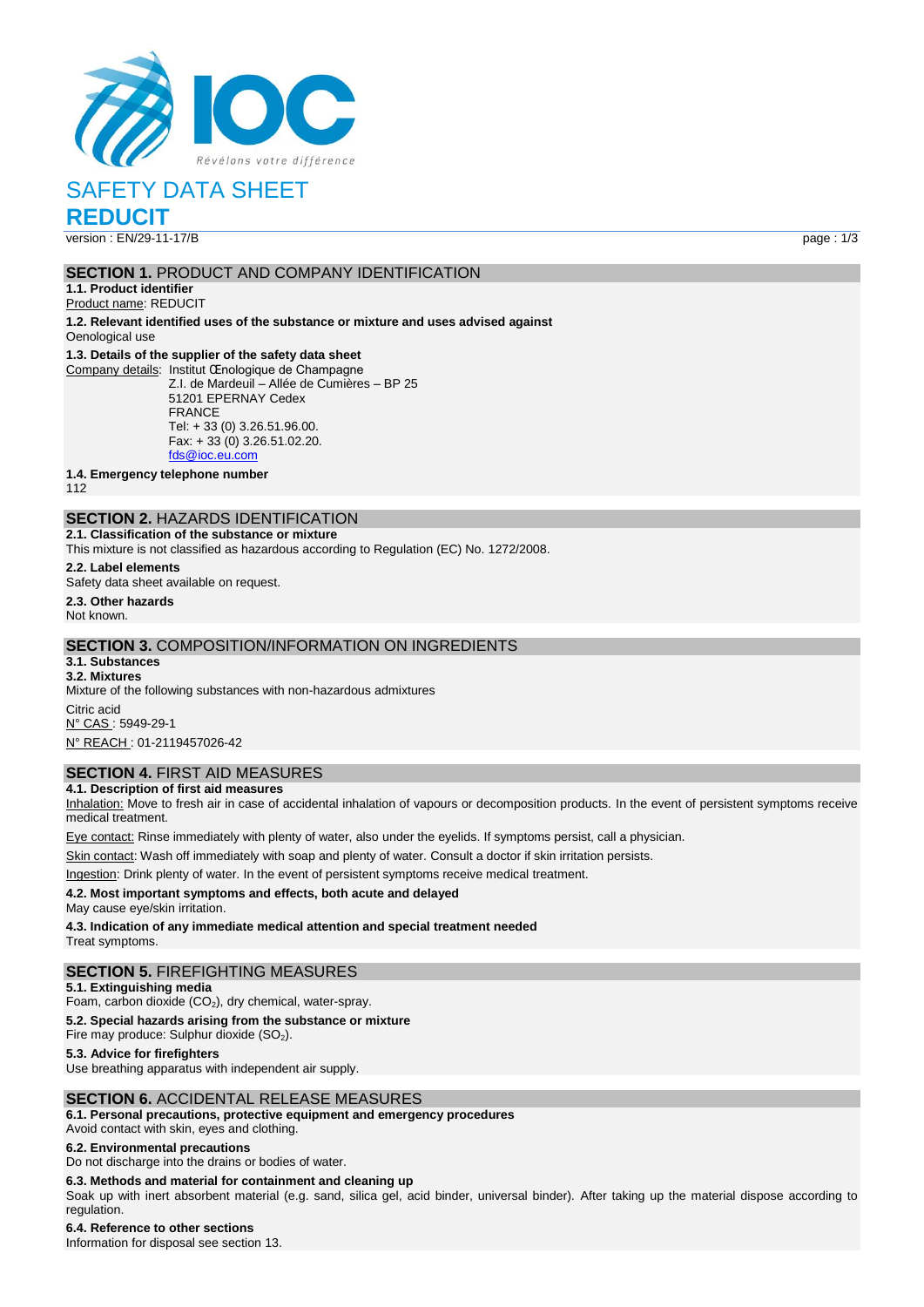

# SAFETY DATA SHEET

**REDUCIT**

version : EN/29-11-17/B page : 1/3

## **SECTION 1.** PRODUCT AND COMPANY IDENTIFICATION

**1.1. Product identifier** Product name: REDUCIT

**1.2. Relevant identified uses of the substance or mixture and uses advised against** Oenological use

#### **1.3. Details of the supplier of the safety data sheet**

Company details: Institut Œnologique de Champagne Z.I. de Mardeuil – Allée de Cumières – BP 25 51201 EPERNAY Cedex FRANCE Tel: + 33 (0) 3.26.51.96.00. Fax: + 33 (0) 3.26.51.02.20. [fds@ioc.eu.com](mailto:fds@ioc.eu.com)

**1.4. Emergency telephone number**

112

# **SECTION 2.** HAZARDS IDENTIFICATION

**2.1. Classification of the substance or mixture** This mixture is not classified as hazardous according to Regulation (EC) No. 1272/2008.

**2.2. Label elements**

Safety data sheet available on request.

**2.3. Other hazards** Not known.

## **SECTION 3.** COMPOSITION/INFORMATION ON INGREDIENTS

**3.1. Substances 3.2. Mixtures** Mixture of the following substances with non-hazardous admixtures Citric acid

N° CAS : 5949-29-1 N° REACH : 01-2119457026-42

# **SECTION 4.** FIRST AID MEASURES

## **4.1. Description of first aid measures**

Inhalation: Move to fresh air in case of accidental inhalation of vapours or decomposition products. In the event of persistent symptoms receive medical treatment.

Eye contact: Rinse immediately with plenty of water, also under the eyelids. If symptoms persist, call a physician.

Skin contact: Wash off immediately with soap and plenty of water. Consult a doctor if skin irritation persists.

Ingestion: Drink plenty of water. In the event of persistent symptoms receive medical treatment.

### **4.2. Most important symptoms and effects, both acute and delayed**

May cause eye/skin irritation.

**4.3. Indication of any immediate medical attention and special treatment needed**

#### Treat symptoms.

## **SECTION 5.** FIREFIGHTING MEASURES

**5.1. Extinguishing media**

Foam, carbon dioxide  $(CO<sub>2</sub>)$ , dry chemical, water-spray.

**5.2. Special hazards arising from the substance or mixture**

Fire may produce: Sulphur dioxide  $(SO<sub>2</sub>)$ .

### **5.3. Advice for firefighters**

Use breathing apparatus with independent air supply.

# **SECTION 6.** ACCIDENTAL RELEASE MEASURES

**6.1. Personal precautions, protective equipment and emergency procedures**

Avoid contact with skin, eyes and clothing.

#### **6.2. Environmental precautions**

Do not discharge into the drains or bodies of water.

## **6.3. Methods and material for containment and cleaning up**

Soak up with inert absorbent material (e.g. sand, silica gel, acid binder, universal binder). After taking up the material dispose according to regulation.

**6.4. Reference to other sections**

Information for disposal see section 13.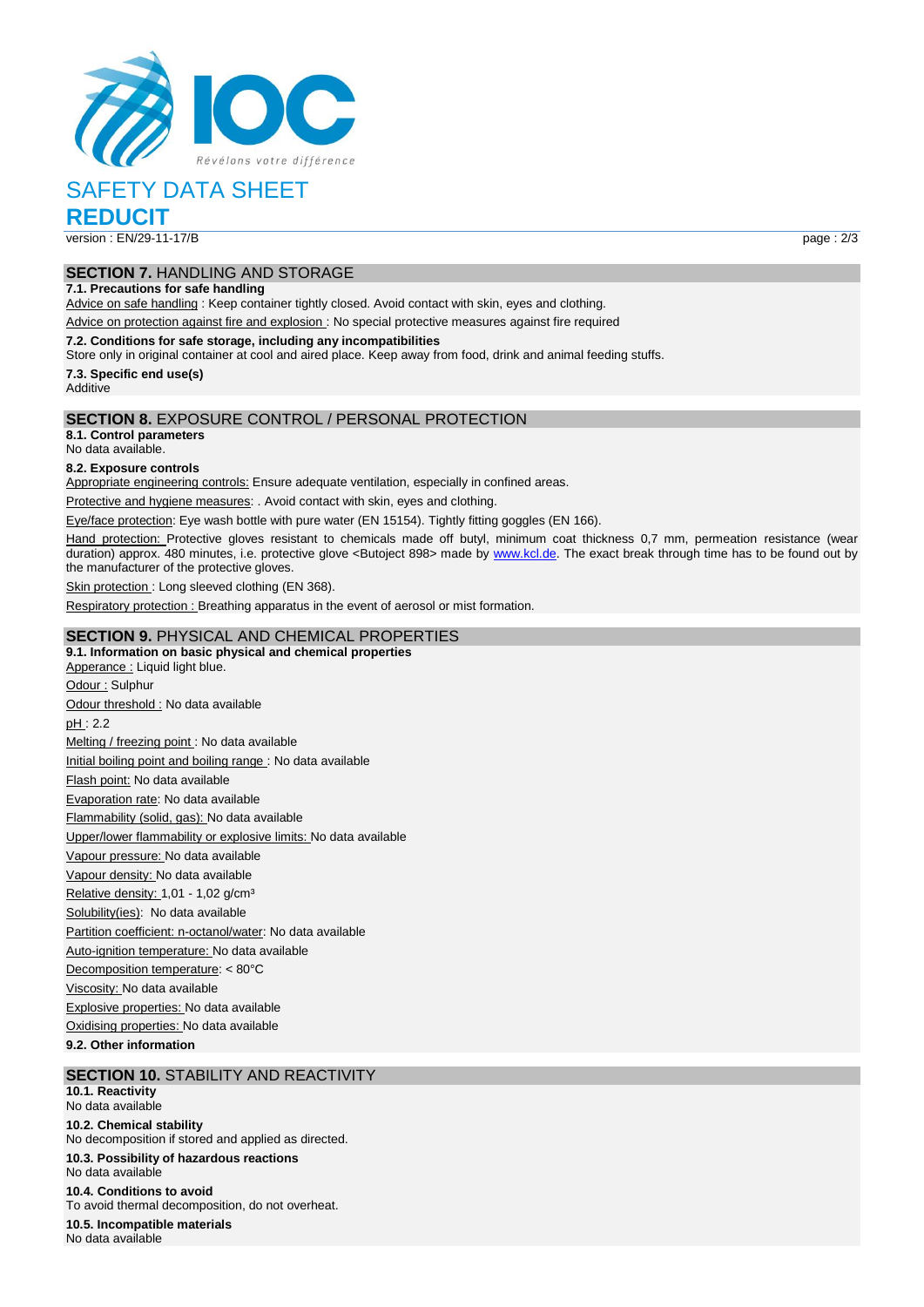

# SAFETY DATA SHEET

**REDUCIT**

version : EN/29-11-17/B page : 2/3

# **SECTION 7.** HANDLING AND STORAGE

**7.1. Precautions for safe handling**

Advice on safe handling : Keep container tightly closed. Avoid contact with skin, eyes and clothing.

Advice on protection against fire and explosion : No special protective measures against fire required

**7.2. Conditions for safe storage, including any incompatibilities**

Store only in original container at cool and aired place. Keep away from food, drink and animal feeding stuffs.

**7.3. Specific end use(s)**

**Additive** 

# **SECTION 8.** EXPOSURE CONTROL / PERSONAL PROTECTION

**8.1. Control parameters**

No data available.

#### **8.2. Exposure controls**

Appropriate engineering controls: Ensure adequate ventilation, especially in confined areas.

Protective and hygiene measures: . Avoid contact with skin, eyes and clothing.

Eye/face protection: Eye wash bottle with pure water (EN 15154). Tightly fitting goggles (EN 166).

Hand protection: Protective gloves resistant to chemicals made off butyl, minimum coat thickness 0,7 mm, permeation resistance (wear duration) approx. 480 minutes, i.e. protective glove <Butoject 898> made by [www.kcl.de.](http://www.kcl.de/) The exact break through time has to be found out by the manufacturer of the protective gloves.

Skin protection : Long sleeved clothing (EN 368).

Respiratory protection : Breathing apparatus in the event of aerosol or mist formation.

## **SECTION 9.** PHYSICAL AND CHEMICAL PROPERTIES

**9.1. Information on basic physical and chemical properties** Apperance : Liquid light blue. Odour : Sulphur Odour threshold : No data available pH : 2.2 Melting / freezing point : No data available Initial boiling point and boiling range : No data available Flash point: No data available Evaporation rate: No data available Flammability (solid, gas): No data available Upper/lower flammability or explosive limits: No data available Vapour pressure: No data available Vapour density: No data available Relative density: 1,01 - 1,02 g/cm<sup>3</sup> Solubility(ies): No data available Partition coefficient: n-octanol/water: No data available Auto-ignition temperature: No data available Decomposition temperature: < 80°C Viscosity: No data available Explosive properties: No data available Oxidising properties: No data available **9.2. Other information**

## **SECTION 10.** STABILITY AND REACTIVITY

**10.1. Reactivity** No data available

**10.2. Chemical stability** No decomposition if stored and applied as directed.

**10.3. Possibility of hazardous reactions** No data available

**10.4. Conditions to avoid**

To avoid thermal decomposition, do not overheat.

**10.5. Incompatible materials**

No data available